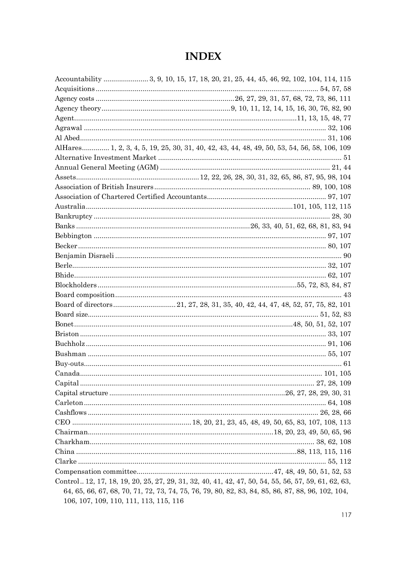## **INDEX**

|                                        | Accountability  3, 9, 10, 15, 17, 18, 20, 21, 25, 44, 45, 46, 92, 102, 104, 114, 115                  |
|----------------------------------------|-------------------------------------------------------------------------------------------------------|
|                                        |                                                                                                       |
|                                        |                                                                                                       |
|                                        |                                                                                                       |
|                                        |                                                                                                       |
|                                        |                                                                                                       |
|                                        |                                                                                                       |
|                                        | AlHares 1, 2, 3, 4, 5, 19, 25, 30, 31, 40, 42, 43, 44, 48, 49, 50, 53, 54, 56, 58, 106, 109           |
|                                        |                                                                                                       |
|                                        |                                                                                                       |
|                                        |                                                                                                       |
|                                        |                                                                                                       |
|                                        |                                                                                                       |
|                                        |                                                                                                       |
|                                        |                                                                                                       |
|                                        |                                                                                                       |
|                                        |                                                                                                       |
|                                        |                                                                                                       |
|                                        |                                                                                                       |
|                                        |                                                                                                       |
|                                        |                                                                                                       |
|                                        |                                                                                                       |
|                                        |                                                                                                       |
|                                        |                                                                                                       |
|                                        |                                                                                                       |
|                                        |                                                                                                       |
|                                        |                                                                                                       |
|                                        |                                                                                                       |
|                                        |                                                                                                       |
|                                        |                                                                                                       |
|                                        |                                                                                                       |
|                                        |                                                                                                       |
|                                        |                                                                                                       |
|                                        |                                                                                                       |
|                                        |                                                                                                       |
|                                        |                                                                                                       |
|                                        |                                                                                                       |
|                                        |                                                                                                       |
|                                        |                                                                                                       |
|                                        |                                                                                                       |
|                                        |                                                                                                       |
|                                        | Control., 12, 17, 18, 19, 20, 25, 27, 29, 31, 32, 40, 41, 42, 47, 50, 54, 55, 56, 57, 59, 61, 62, 63, |
|                                        | 64, 65, 66, 67, 68, 70, 71, 72, 73, 74, 75, 76, 79, 80, 82, 83, 84, 85, 86, 87, 88, 96, 102, 104,     |
| 106, 107, 109, 110, 111, 113, 115, 116 |                                                                                                       |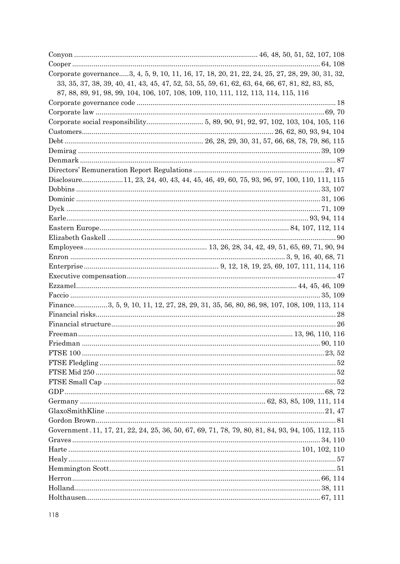| Corporate governance3, 4, 5, 9, 10, 11, 16, 17, 18, 20, 21, 22, 24, 25, 27, 28, 29, 30, 31, 32,   |  |
|---------------------------------------------------------------------------------------------------|--|
| 33, 35, 37, 38, 39, 40, 41, 43, 45, 47, 52, 53, 55, 59, 61, 62, 63, 64, 66, 67, 81, 82, 83, 85,   |  |
| 87, 88, 89, 91, 98, 99, 104, 106, 107, 108, 109, 110, 111, 112, 113, 114, 115, 116                |  |
|                                                                                                   |  |
|                                                                                                   |  |
|                                                                                                   |  |
|                                                                                                   |  |
|                                                                                                   |  |
|                                                                                                   |  |
|                                                                                                   |  |
|                                                                                                   |  |
| Disclosure11, 23, 24, 40, 43, 44, 45, 46, 49, 60, 75, 93, 96, 97, 100, 110, 111, 115              |  |
|                                                                                                   |  |
|                                                                                                   |  |
|                                                                                                   |  |
|                                                                                                   |  |
|                                                                                                   |  |
|                                                                                                   |  |
|                                                                                                   |  |
|                                                                                                   |  |
|                                                                                                   |  |
|                                                                                                   |  |
|                                                                                                   |  |
|                                                                                                   |  |
| Finance 3, 5, 9, 10, 11, 12, 27, 28, 29, 31, 35, 56, 80, 86, 98, 107, 108, 109, 113, 114          |  |
|                                                                                                   |  |
|                                                                                                   |  |
|                                                                                                   |  |
|                                                                                                   |  |
|                                                                                                   |  |
|                                                                                                   |  |
|                                                                                                   |  |
|                                                                                                   |  |
|                                                                                                   |  |
|                                                                                                   |  |
|                                                                                                   |  |
|                                                                                                   |  |
| Government. 11, 17, 21, 22, 24, 25, 36, 50, 67, 69, 71, 78, 79, 80, 81, 84, 93, 94, 105, 112, 115 |  |
|                                                                                                   |  |
|                                                                                                   |  |
|                                                                                                   |  |
|                                                                                                   |  |
|                                                                                                   |  |
|                                                                                                   |  |
|                                                                                                   |  |
|                                                                                                   |  |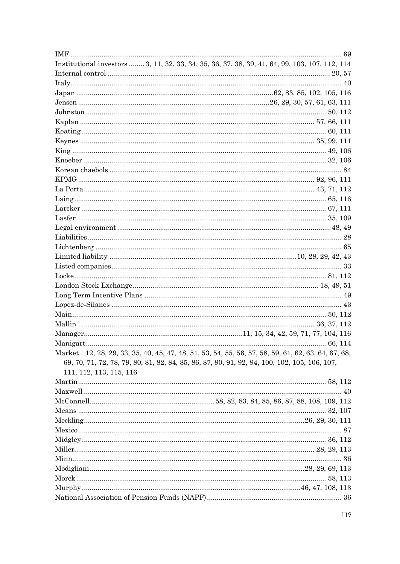| Institutional investors  3, 11, 32, 33, 34, 35, 36, 37, 38, 39, 41, 64, 99, 103, 107, 112, 114      |  |
|-----------------------------------------------------------------------------------------------------|--|
|                                                                                                     |  |
|                                                                                                     |  |
|                                                                                                     |  |
|                                                                                                     |  |
|                                                                                                     |  |
|                                                                                                     |  |
|                                                                                                     |  |
|                                                                                                     |  |
|                                                                                                     |  |
|                                                                                                     |  |
|                                                                                                     |  |
|                                                                                                     |  |
|                                                                                                     |  |
|                                                                                                     |  |
|                                                                                                     |  |
|                                                                                                     |  |
|                                                                                                     |  |
|                                                                                                     |  |
|                                                                                                     |  |
|                                                                                                     |  |
|                                                                                                     |  |
|                                                                                                     |  |
|                                                                                                     |  |
|                                                                                                     |  |
|                                                                                                     |  |
|                                                                                                     |  |
|                                                                                                     |  |
|                                                                                                     |  |
|                                                                                                     |  |
| Market  12, 28, 29, 33, 35, 40, 45, 47, 48, 51, 53, 54, 55, 56, 57, 58, 59, 61, 62, 63, 64, 67, 68, |  |
| 69, 70, 71, 72, 78, 79, 80, 81, 82, 84, 85, 86, 87, 90, 91, 92, 94, 100, 102, 105, 106, 107,        |  |
| 111, 112, 113, 115, 116                                                                             |  |
|                                                                                                     |  |
|                                                                                                     |  |
|                                                                                                     |  |
|                                                                                                     |  |
|                                                                                                     |  |
|                                                                                                     |  |
|                                                                                                     |  |
|                                                                                                     |  |
|                                                                                                     |  |
|                                                                                                     |  |
|                                                                                                     |  |
|                                                                                                     |  |
|                                                                                                     |  |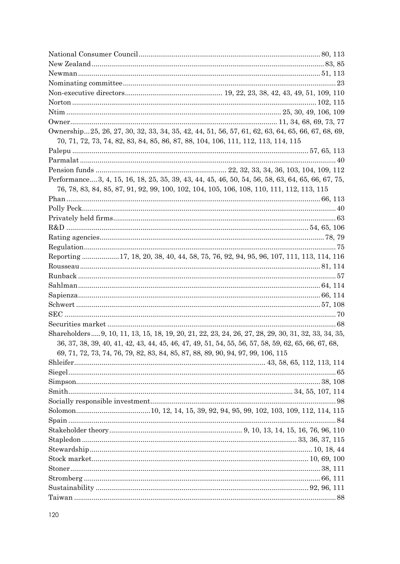| Ownership25, 26, 27, 30, 32, 33, 34, 35, 42, 44, 51, 56, 57, 61, 62, 63, 64, 65, 66, 67, 68, 69,    |  |
|-----------------------------------------------------------------------------------------------------|--|
| 70, 71, 72, 73, 74, 82, 83, 84, 85, 86, 87, 88, 104, 106, 111, 112, 113, 114, 115                   |  |
|                                                                                                     |  |
|                                                                                                     |  |
|                                                                                                     |  |
| Performance3, 4, 15, 16, 18, 25, 35, 39, 43, 44, 45, 46, 50, 54, 56, 58, 63, 64, 65, 66, 67, 75,    |  |
| 76, 78, 83, 84, 85, 87, 91, 92, 99, 100, 102, 104, 105, 106, 108, 110, 111, 112, 113, 115           |  |
|                                                                                                     |  |
|                                                                                                     |  |
|                                                                                                     |  |
|                                                                                                     |  |
|                                                                                                     |  |
|                                                                                                     |  |
| Reporting 17, 18, 20, 38, 40, 44, 58, 75, 76, 92, 94, 95, 96, 107, 111, 113, 114, 116               |  |
|                                                                                                     |  |
|                                                                                                     |  |
|                                                                                                     |  |
|                                                                                                     |  |
|                                                                                                     |  |
|                                                                                                     |  |
|                                                                                                     |  |
| Shareholders 9, 10, 11, 13, 15, 18, 19, 20, 21, 22, 23, 24, 26, 27, 28, 29, 30, 31, 32, 33, 34, 35, |  |
| 36, 37, 38, 39, 40, 41, 42, 43, 44, 45, 46, 47, 49, 51, 54, 55, 56, 57, 58, 59, 62, 65, 66, 67, 68, |  |
| 69, 71, 72, 73, 74, 76, 79, 82, 83, 84, 85, 87, 88, 89, 90, 94, 97, 99, 106, 115                    |  |
|                                                                                                     |  |
|                                                                                                     |  |
|                                                                                                     |  |
|                                                                                                     |  |
|                                                                                                     |  |
|                                                                                                     |  |
|                                                                                                     |  |
|                                                                                                     |  |
|                                                                                                     |  |
|                                                                                                     |  |
|                                                                                                     |  |
|                                                                                                     |  |
|                                                                                                     |  |
|                                                                                                     |  |
|                                                                                                     |  |
|                                                                                                     |  |